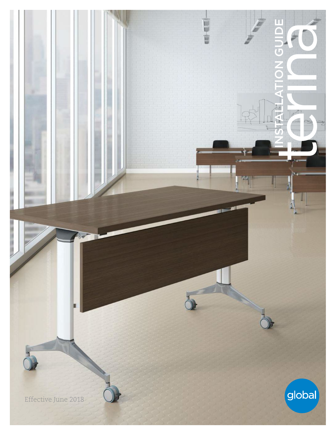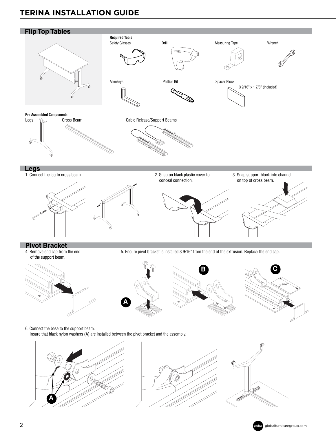## **TERINA INSTALLATION GUIDE** GLOBAL*Contract* • Fall 2017



globalcontract.com •Page **74**

M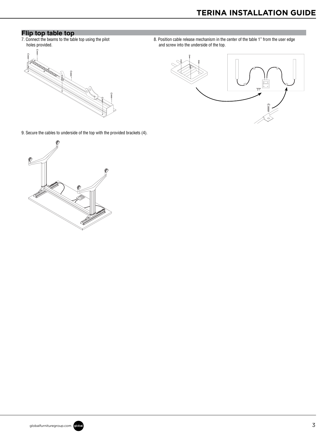## **Flip top table top**

7. Connect the beams to the table top using the pilot holes provided.

Installation of the control of the control of the control of the control of the control of the control of the<br>Installation of the control of the control of the control of the control of the control of the control of the



8. Position cable release mechanism in the center of the table 1" from the user edge and screw into the underside of the top.



9. Secure the cables to underside of the top with the provided brackets (4).



Page • **75** globalcontract.com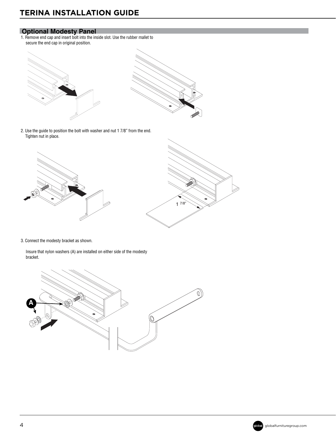## **Optional Modesty Panel**

1. Remove end cap and insert bolt into the inside slot. Use the rubber mallet to secure the end cap in original position.



2. Use the guide to position the bolt with washer and nut 1 7/8" from the end. Tighten nut in place.



3. Connect the modesty bracket as shown.

 Insure that nylon washers (A) are installed on either side of the modesty bracket.





globalcontract.com •Page **76**

INSTALLATION GUIDELINES